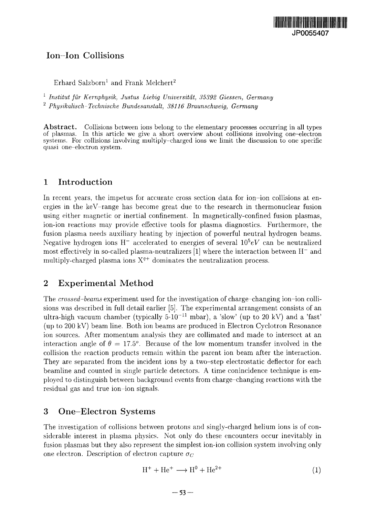# Ion Ion Collisions

 $\mathrm{E}$ rhard Salzborn $^1$  and Frank Melchert $^2$ 

1  *Institut fur Kernphysik, Justus Liebig Universitdt, 35392 Giessen, Germany Physikalisch-Technische Bundesanstalt, 38116 Braunschweig, Germany*

Abstract. Collisions between ions belong to the elementary processes occurring in all types of plasmas. In this article we give a short overview about collisions involving one-electron systems. For collisions involving multiply-charged ions we limit the discussion to one specific quasi one-electron system.

## 1 Introduction

In recent years, the impetus for accurate cross section data for ion-ion collisions at energies in the keV-range has become great due to the research in thermonuclear fusion using either magnetic or inertial confinement. In magnetically-confined fusion plasmas, ion-ion reactions may provide effective tools for plasma diagnostics. Furthermore, the fusion plasma needs auxiliary heating by injection of powerful neutral hydrogen beams. Negative hydrogen ions H<sup>-</sup> accelerated to energies of several  $10^5 eV$  can be neutralized most effectively in so-called plasma-neutralizers  $[1]$  where the interaction between  $H^-$  and multiply-charged plasma ions  $X^{q+}$  dominates the neutralization process.

## 2 Experimental Method

The *crossed-beams* experiment used for the investigation of charge-changing ion-ion collisions was described in full detail earlier [5]. The experimental arrangement consists of an ultra-high vacuum chamber (typically  $5\cdot 10^{-11}$  mbar), a 'slow' (up to 20 kV) and a 'fast' (up to 200 kV) beam line. Both ion beams are produced in Electron Cyclotron Resonance ion sources. After momentum analysis they are collimated and made to intersect at an interaction angle of  $\theta = 17.5^{\circ}$ . Because of the low momentum transfer involved in the collision the reaction products remain within the parent ion beam after the interaction. They are separated from the incident ions by a two-step electrostatic deflector for each beamline and counted in single particle detectors. A time conincidence technique is employed to distinguish between background events from charge-changing reactions with the residual gas and true ion-ion signals.

## 3 One-Electron Systems

The investigation of collisions between protons and singly-charged helium ions is of considerable interest in plasma physics. Not only do these encounters occur inevitably in fusion plasmas but they also represent the simplest ion-ion collision system involving only one electron. Description of electron capture  $\sigma_C$ 

$$
H^{+} + He^{+} \longrightarrow H^{0} + He^{2+}
$$
 (1)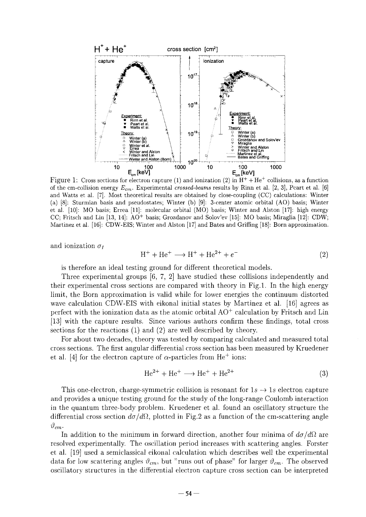

Figure 1: Cross sections for electron capture (1) and ionization (2) in  $\rm H^+ + He^+$  collisions, as a function of the cm-collision energy *Ecm.* Experimental *crossed-beams* results by Rinn et al. [2, 3], Peart et al. [6] and Watts et al. [7]. Most theoretical results are obtained by close-coupling (CC) calculations: Winter (a) [8]: Sturmian basis and pseudostates; Winter (b) [9]: 3-center atomic orbital (AO) basis; Winter et al. [10]: MO basis; Errea [11]: molecular orbital (MO) basis; Winter and Alston [17]: high energy CC; Fritsch and Lin [13, 14]: AO+ basis; Grozdanov and Solov'ev [15]: MO basis; Miraglia [12]: CDW; Martinez et al. [16]: CDW-EIS; Winter and Alston [17] and Bates and Griffing [18]: Born approximation.

and ionization  $\sigma_I$ 

$$
H^{+} + He^{+} \longrightarrow H^{+} + He^{2+} + e^{-}
$$
 (2)

is therefore an ideal testing ground for different theoretical models.

Three experimental groups [6, 7, 2] have studied these collisions independently and their experimental cross sections are compared with theory in Fig.l. In the high energy limit, the Born approximation is valid while for lower energies the continuum distorted wave calculation CDW-EIS with eikonal initial states by Martinez et al. [16] agrees as perfect with the ionization data as the atomic orbital  $AO^+$  calculation by Fritsch and Lin [13] with the capture results. Since various authors confirm these findings, total cross sections for the reactions (1) and (2) are well described by theory.

For about two decades, theory was tested by comparing calculated and measured total cross sections. The first angular differential cross section has been measured by Kruedener et al. [4] for the electron capture of  $\alpha$ -particles from He<sup>+</sup> ions:

$$
\text{He}^{2+} + \text{He}^+ \longrightarrow \text{He}^+ + \text{He}^{2+} \tag{3}
$$

This one-electron, charge-symmetric collision is resonant for  $1s \rightarrow 1s$  electron capture and provides a unique testing ground for the study of the long-range Coulomb interaction in the quantum three-body problem. Kruedener et al. found an oscillatory structure the differential cross section  $d\sigma/d\Omega$ , plotted in Fig.2 as a function of the cm-scattering angle  $\vartheta_{cm}$ .

In addition to the minimum in forward direction, another four minima of  $d\sigma/d\Omega$  are resolved experimentally. The oscillation period increases with scattering angles. Forster et al. [19] used a semiclassical eikonal calculation which describes well the experimental data for low scattering angles  $\vartheta_{cm}$ , but "runs out of phase" for larger  $\vartheta_{cm}$ . The observed oscillatory structures in the differential electron capture cross section can be interpreted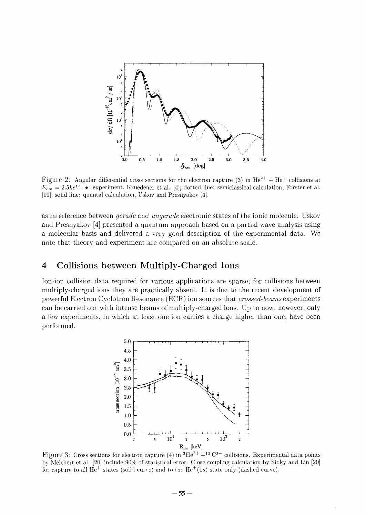

Figure 2: Angular differential cross sections for the electron capture (3) in  $\text{He}^{2+} + \text{He}^{+}$  collisions at  $E_{cm} = 2.5 keV$ . •: experiment, Kruedener et al. [4]; dotted line: semiclassical calculation, Forster et al. [19]; solid line: quantal calculation, Uskov and Presnyakov [4].

as interference between *gerade* and *ungerade* electronic states of the ionic molecule. Uskov and Presnyakov [4] presented a quantum approach based on a partial wave analysis using a molecular basis and delivered a very good description of the experimental data. We note that theory and experiment are compared on an absolute scale.

#### 4 Collisions between Multiply-Charged Ions

Ion-ion collision data required for various applications are sparse; for collisions between multiply-charged ions they are practically absent. It is due to the recent development of powerful Electron Cyclotron Resonance (ECR) ion sources that *crossed-beams* experiments can be carried out with intense beams of multiply-charged ions. Up to now, however, only a few experiments, in which at least one ion carries a charge higher than one, have been performed.



Figure 3: Cross sections for electron capture (4) in  ${}^{3}He^{2+} + {}^{13}C^{3+}$  collisions. Experimental data points by Melchert ct al. [20] include 90% of statistical error. Close coupling calculation by Sidky and Lin [20] for capture to all  $He<sup>+</sup>$  states (solid curve) and to the  $He<sup>+</sup>(1s)$  state only (dashed curve).